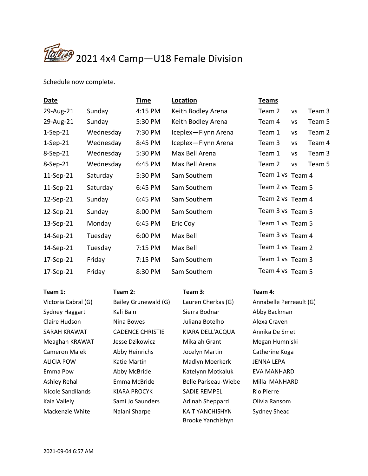

Schedule now complete.

| <b>Date</b> |           | <b>Time</b> | Location            | <b>Teams</b>     |           |        |
|-------------|-----------|-------------|---------------------|------------------|-----------|--------|
| 29-Aug-21   | Sunday    | 4:15 PM     | Keith Bodley Arena  | Team 2           | <b>VS</b> | Team 3 |
| 29-Aug-21   | Sunday    | 5:30 PM     | Keith Bodley Arena  | Team 4           | <b>VS</b> | Team 5 |
| $1-Sep-21$  | Wednesday | 7:30 PM     | Iceplex-Flynn Arena | Team 1           | VS        | Team 2 |
| $1-Sep-21$  | Wednesday | 8:45 PM     | Iceplex-Flynn Arena | Team 3           | VS        | Team 4 |
| 8-Sep-21    | Wednesday | 5:30 PM     | Max Bell Arena      | Team 1           | <b>VS</b> | Team 3 |
| 8-Sep-21    | Wednesday | 6:45 PM     | Max Bell Arena      | Team 2           | VS        | Team 5 |
| 11-Sep-21   | Saturday  | 5:30 PM     | Sam Southern        | Team 1 vs Team 4 |           |        |
| 11-Sep-21   | Saturday  | 6:45 PM     | Sam Southern        | Team 2 vs Team 5 |           |        |
| 12-Sep-21   | Sunday    | 6:45 PM     | Sam Southern        | Team 2 vs Team 4 |           |        |
| 12-Sep-21   | Sunday    | 8:00 PM     | Sam Southern        | Team 3 vs Team 5 |           |        |
| 13-Sep-21   | Monday    | 6:45 PM     | Eric Coy            | Team 1 vs Team 5 |           |        |
| 14-Sep-21   | Tuesday   | 6:00 PM     | Max Bell            | Team 3 vs Team 4 |           |        |
| 14-Sep-21   | Tuesday   | 7:15 PM     | Max Bell            | Team 1 vs Team 2 |           |        |
| 17-Sep-21   | Friday    | 7:15 PM     | Sam Southern        | Team 1 vs Team 3 |           |        |
| 17-Sep-21   | Friday    | 8:30 PM     | Sam Southern        | Team 4 vs Team 5 |           |        |

| Team 1:              | Team 2:                 | Team 3:              | Team 4:                 |
|----------------------|-------------------------|----------------------|-------------------------|
| Victoria Cabral (G)  | Bailey Grunewald (G)    | Lauren Cherkas (G)   | Annabelle Perreault (G) |
| Sydney Haggart       | Kali Bain               | Sierra Bodnar        | Abby Backman            |
| Claire Hudson        | Nina Bowes              | Juliana Botelho      | Alexa Craven            |
| SARAH KRAWAT         | <b>CADENCE CHRISTIE</b> | KIARA DELL'ACQUA     | Annika De Smet          |
| Meaghan KRAWAT       | Jesse Dzikowicz         | Mikalah Grant        | Megan Humniski          |
| <b>Cameron Malek</b> | Abby Heinrichs          | Jocelyn Martin       | Catherine Koga          |
| <b>ALICIA POW</b>    | Katie Martin            | Madlyn Moerkerk      | JENNA LEPA              |
| Emma Pow             | Abby McBride            | Katelynn Motkaluk    | EVA MANHARD             |
| Ashley Rehal         | Emma McBride            | Belle Pariseau-Wiebe | Milla MANHARD           |
| Nicole Sandilands    | KIARA PROCYK            | <b>SADIE REMPEL</b>  | <b>Rio Pierre</b>       |
| Kaia Vallely         | Sami Jo Saunders        | Adinah Sheppard      | Olivia Ransom           |
| Mackenzie White      | Nalani Sharpe           | KAIT YANCHISHYN      | Sydney Shead            |
|                      |                         | Brooke Yanchishyn    |                         |